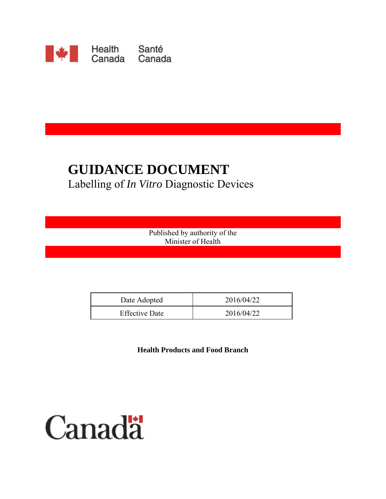

# **GUIDANCE DOCUMENT** Labelling of *In Vitro* Diagnostic Devices

Published by authority of the Minister of Health

| Date Adopted          | 2016/04/22 |
|-----------------------|------------|
| <b>Effective Date</b> | 2016/04/22 |

**Health Products and Food Branch** 

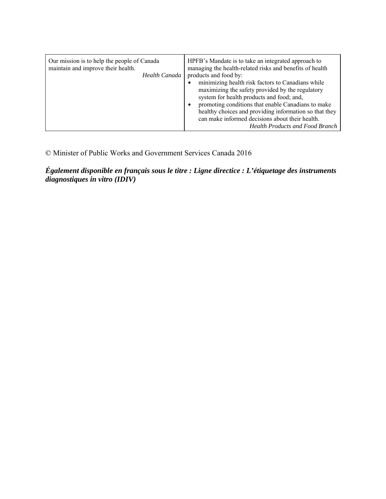| Our mission is to help the people of Canada<br>maintain and improve their health.<br>Health Canada | HPFB's Mandate is to take an integrated approach to<br>managing the health-related risks and benefits of health<br>products and food by:<br>minimizing health risk factors to Canadians while<br>maximizing the safety provided by the regulatory<br>system for health products and food; and,<br>promoting conditions that enable Canadians to make<br>$\bullet$<br>healthy choices and providing information so that they<br>can make informed decisions about their health.<br><b>Health Products and Food Branch</b> |
|----------------------------------------------------------------------------------------------------|--------------------------------------------------------------------------------------------------------------------------------------------------------------------------------------------------------------------------------------------------------------------------------------------------------------------------------------------------------------------------------------------------------------------------------------------------------------------------------------------------------------------------|
|----------------------------------------------------------------------------------------------------|--------------------------------------------------------------------------------------------------------------------------------------------------------------------------------------------------------------------------------------------------------------------------------------------------------------------------------------------------------------------------------------------------------------------------------------------------------------------------------------------------------------------------|

© Minister of Public Works and Government Services Canada 2016

*Également disponible en français sous le titre : Ligne directice : L'étiquetage des instruments diagnostiques in vitro (IDIV)*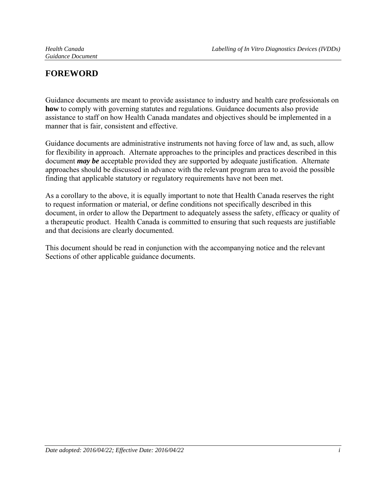# **FOREWORD**

Guidance documents are meant to provide assistance to industry and health care professionals on **how** to comply with governing statutes and regulations. Guidance documents also provide assistance to staff on how Health Canada mandates and objectives should be implemented in a manner that is fair, consistent and effective.

Guidance documents are administrative instruments not having force of law and, as such, allow for flexibility in approach. Alternate approaches to the principles and practices described in this document *may be* acceptable provided they are supported by adequate justification. Alternate approaches should be discussed in advance with the relevant program area to avoid the possible finding that applicable statutory or regulatory requirements have not been met.

As a corollary to the above, it is equally important to note that Health Canada reserves the right to request information or material, or define conditions not specifically described in this document, in order to allow the Department to adequately assess the safety, efficacy or quality of a therapeutic product. Health Canada is committed to ensuring that such requests are justifiable and that decisions are clearly documented.

This document should be read in conjunction with the accompanying notice and the relevant Sections of other applicable guidance documents.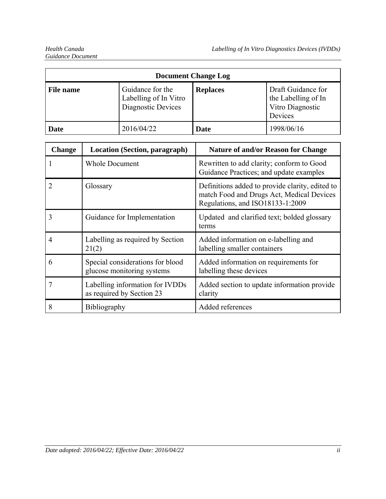| <b>Document Change Log</b> |                                                                                    |             |                                                                          |
|----------------------------|------------------------------------------------------------------------------------|-------------|--------------------------------------------------------------------------|
| <b>File name</b>           | Guidance for the<br><b>Replaces</b><br>Labelling of In Vitro<br>Diagnostic Devices |             | Draft Guidance for<br>the Labelling of In<br>Vitro Diagnostic<br>Devices |
| Date                       | 2016/04/22                                                                         | <b>Date</b> | 1998/06/16                                                               |

| <b>Change</b> | Location (Section, paragraph)                                  | <b>Nature of and/or Reason for Change</b>                                                                                        |
|---------------|----------------------------------------------------------------|----------------------------------------------------------------------------------------------------------------------------------|
|               | <b>Whole Document</b>                                          | Rewritten to add clarity; conform to Good<br>Guidance Practices; and update examples                                             |
|               | Glossary                                                       | Definitions added to provide clarity, edited to<br>match Food and Drugs Act, Medical Devices<br>Regulations, and ISO18133-1:2009 |
| 3             | Guidance for Implementation                                    | Updated and clarified text; bolded glossary<br>terms                                                                             |
| 4             | Labelling as required by Section<br>21(2)                      | Added information on e-labelling and<br>labelling smaller containers                                                             |
| 6             | Special considerations for blood<br>glucose monitoring systems | Added information on requirements for<br>labelling these devices                                                                 |
| 7             | Labelling information for IVDDs<br>as required by Section 23   | Added section to update information provide<br>clarity                                                                           |
| 8             | <b>Bibliography</b>                                            | Added references                                                                                                                 |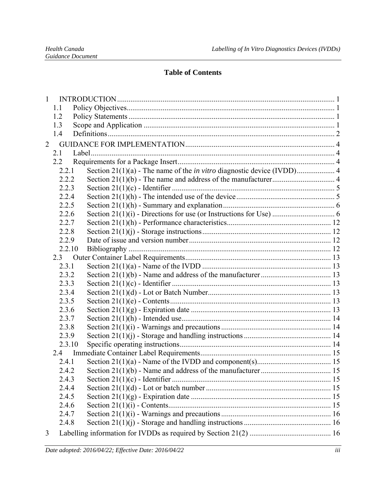### **Table of Contents**

| $\mathbf{1}$   |        |  |  |
|----------------|--------|--|--|
|                | 1.1    |  |  |
|                | 1.2    |  |  |
|                | 1.3    |  |  |
|                | 1.4    |  |  |
| $\overline{2}$ |        |  |  |
|                | 2.1    |  |  |
|                | 2.2    |  |  |
|                | 2.2.1  |  |  |
|                | 2.2.2  |  |  |
|                | 2.2.3  |  |  |
|                | 2.2.4  |  |  |
|                | 2.2.5  |  |  |
|                | 2.2.6  |  |  |
|                | 2.2.7  |  |  |
|                | 2.2.8  |  |  |
|                | 2.2.9  |  |  |
|                | 2.2.10 |  |  |
|                | 2.3    |  |  |
|                | 2.3.1  |  |  |
|                | 2.3.2  |  |  |
|                | 2.3.3  |  |  |
|                | 2.3.4  |  |  |
|                | 2.3.5  |  |  |
|                | 2.3.6  |  |  |
|                | 2.3.7  |  |  |
|                | 2.3.8  |  |  |
|                | 2.3.9  |  |  |
|                | 2.3.10 |  |  |
|                |        |  |  |
|                | 2.4.1  |  |  |
|                | 2.4.2  |  |  |
|                | 2.4.3  |  |  |
|                | 2.4.4  |  |  |
|                | 2.4.5  |  |  |
|                | 2.4.6  |  |  |
|                | 2.4.7  |  |  |
|                | 2.4.8  |  |  |
| 3              |        |  |  |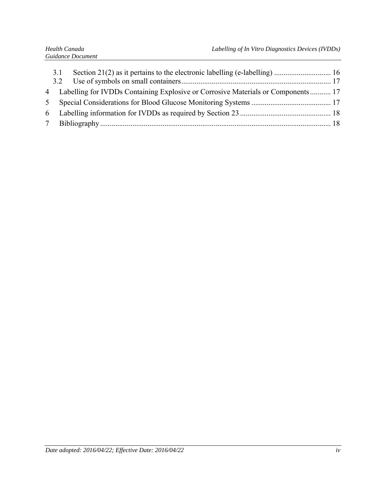| 3.1 |                                                                                    |  |
|-----|------------------------------------------------------------------------------------|--|
|     | 4 Labelling for IVDDs Containing Explosive or Corrosive Materials or Components 17 |  |
|     |                                                                                    |  |
|     |                                                                                    |  |
|     |                                                                                    |  |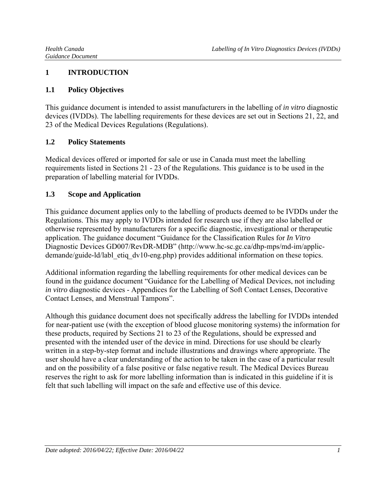### **1 INTRODUCTION**

### **1.1 Policy Objectives**

This guidance document is intended to assist manufacturers in the labelling of *in vitro* diagnostic devices (IVDDs). The labelling requirements for these devices are set out in Sections 21, 22, and 23 of the Medical Devices Regulations (Regulations).

### **1.2 Policy Statements**

Medical devices offered or imported for sale or use in Canada must meet the labelling requirements listed in Sections 21 - 23 of the Regulations. This guidance is to be used in the preparation of labelling material for IVDDs.

### **1.3 Scope and Application**

This guidance document applies only to the labelling of products deemed to be IVDDs under the Regulations. This may apply to IVDDs intended for research use if they are also labelled or otherwise represented by manufacturers for a specific diagnostic, investigational or therapeutic application. The guidance document "Guidance for the Classification Rules for *In Vitro* Diagnostic Devices GD007/RevDR-MDB" (http://www.hc-sc.gc.ca/dhp-mps/md-im/applicdemande/guide-ld/labl\_etiq\_dv10-eng.php) provides additional information on these topics.

Additional information regarding the labelling requirements for other medical devices can be found in the guidance document "Guidance for the Labelling of Medical Devices, not including *in vitro* diagnostic devices - Appendices for the Labelling of Soft Contact Lenses, Decorative Contact Lenses, and Menstrual Tampons".

Although this guidance document does not specifically address the labelling for IVDDs intended for near-patient use (with the exception of blood glucose monitoring systems) the information for these products, required by Sections 21 to 23 of the Regulations, should be expressed and presented with the intended user of the device in mind. Directions for use should be clearly written in a step-by-step format and include illustrations and drawings where appropriate. The user should have a clear understanding of the action to be taken in the case of a particular result and on the possibility of a false positive or false negative result. The Medical Devices Bureau reserves the right to ask for more labelling information than is indicated in this guideline if it is felt that such labelling will impact on the safe and effective use of this device.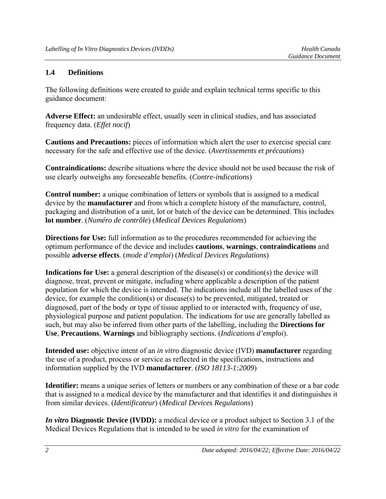#### **1.4 Definitions**

The following definitions were created to guide and explain technical terms specific to this guidance document:

**Adverse Effect:** an undesirable effect, usually seen in clinical studies, and has associated frequency data. (*Effet nocif*)

**Cautions and Precautions:** pieces of information which alert the user to exercise special care necessary for the safe and effective use of the device. (*Avertissements et précautions*)

**Contraindications:** describe situations where the device should not be used because the risk of use clearly outweighs any foreseeable benefits. (*Contre-indications*)

**Control number:** a unique combination of letters or symbols that is assigned to a medical device by the **manufacturer** and from which a complete history of the manufacture, control, packaging and distribution of a unit, lot or batch of the device can be determined. This includes **lot number**. (*Numéro de contrôle*) (*Medical Devices Regulations*)

**Directions for Use:** full information as to the procedures recommended for achieving the optimum performance of the device and includes **cautions**, **warnings**, **contraindications** and possible **adverse effects**. (*mode d'emploi*) (*Medical Devices Regulations*)

**Indications for Use:** a general description of the disease(s) or condition(s) the device will diagnose, treat, prevent or mitigate, including where applicable a description of the patient population for which the device is intended. The indications include all the labelled uses of the device, for example the condition(s) or disease(s) to be prevented, mitigated, treated or diagnosed, part of the body or type of tissue applied to or interacted with, frequency of use, physiological purpose and patient population. The indications for use are generally labelled as such, but may also be inferred from other parts of the labelling, including the **Directions for Use**, **Precautions**, **Warnings** and bibliography sections. (*Indications d'emploi*).

**Intended use:** objective intent of an *in vitro* diagnostic device (IVD) **manufacturer** regarding the use of a product, process or service as reflected in the specifications, instructions and information supplied by the IVD **manufacturer**. (*ISO 18113-1:2009*)

**Identifier:** means a unique series of letters or numbers or any combination of these or a bar code that is assigned to a medical device by the manufacturer and that identifies it and distinguishes it from similar devices. (*Identificateur*) (*Medical Devices Regulations*)

*In vitro* **Diagnostic Device (IVDD):** a medical device or a product subject to Section 3.1 of the Medical Devices Regulations that is intended to be used *in vitro* for the examination of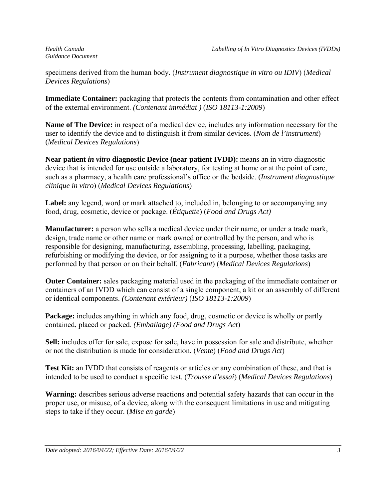specimens derived from the human body. (*Instrument diagnostique in vitro ou IDIV*) (*Medical Devices Regulations*)

**Immediate Container:** packaging that protects the contents from contamination and other effect of the external environment. *(Contenant immédiat )* (*ISO 18113-1:2009*)

**Name of The Device:** in respect of a medical device, includes any information necessary for the user to identify the device and to distinguish it from similar devices. (*Nom de l'instrument*) (*Medical Devices Regulations*)

**Near patient** *in vitro* **diagnostic Device (near patient IVDD):** means an in vitro diagnostic device that is intended for use outside a laboratory, for testing at home or at the point of care, such as a pharmacy, a health care professional's office or the bedside. (*Instrument diagnostique clinique in vitro*) (*Medical Devices Regulations*)

**Label:** any legend, word or mark attached to, included in, belonging to or accompanying any food, drug, cosmetic, device or package. (*Étiquette*) (*Food and Drugs Act)* 

**Manufacturer:** a person who sells a medical device under their name, or under a trade mark, design, trade name or other name or mark owned or controlled by the person, and who is responsible for designing, manufacturing, assembling, processing, labelling, packaging, refurbishing or modifying the device, or for assigning to it a purpose, whether those tasks are performed by that person or on their behalf. (*Fabricant*) (*Medical Devices Regulations*)

**Outer Container:** sales packaging material used in the packaging of the immediate container or containers of an IVDD which can consist of a single component, a kit or an assembly of different or identical components. *(Contenant extérieur)* (*ISO 18113-1:2009*)

**Package:** includes anything in which any food, drug, cosmetic or device is wholly or partly contained, placed or packed. *(Emballage) (Food and Drugs Act*)

**Sell:** includes offer for sale, expose for sale, have in possession for sale and distribute, whether or not the distribution is made for consideration. (*Vente*) (*Food and Drugs Act*)

**Test Kit:** an IVDD that consists of reagents or articles or any combination of these, and that is intended to be used to conduct a specific test. (*Trousse d'essai*) (*Medical Devices Regulations*)

**Warning:** describes serious adverse reactions and potential safety hazards that can occur in the proper use, or misuse, of a device, along with the consequent limitations in use and mitigating steps to take if they occur. (*Mise en garde*)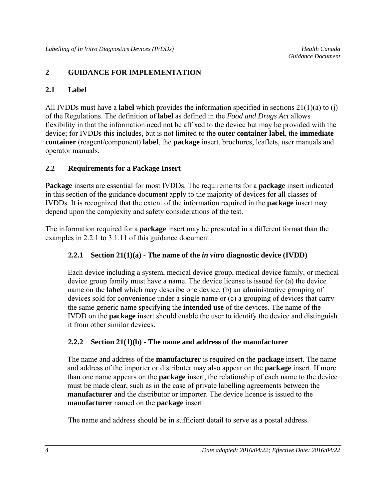#### **2 GUIDANCE FOR IMPLEMENTATION**

#### **2.1 Label**

All IVDDs must have a **label** which provides the information specified in sections 21(1)(a) to (j) of the Regulations. The definition of **label** as defined in the *Food and Drugs Act* allows flexibility in that the information need not be affixed to the device but may be provided with the device; for IVDDs this includes, but is not limited to the **outer container label**, the **immediate container** (reagent/component) **label**, the **package** insert, brochures, leaflets, user manuals and operator manuals.

#### **2.2 Requirements for a Package Insert**

**Package** inserts are essential for most IVDDs. The requirements for a **package** insert indicated in this section of the guidance document apply to the majority of devices for all classes of IVDDs. It is recognized that the extent of the information required in the **package** insert may depend upon the complexity and safety considerations of the test.

The information required for a **package** insert may be presented in a different format than the examples in 2.2.1 to 3.1.11 of this guidance document.

#### **2.2.1 Section 21(1)(a) - The name of the** *in vitro* **diagnostic device (IVDD)**

Each device including a system, medical device group, medical device family, or medical device group family must have a name. The device license is issued for (a) the device name on the **label** which may describe one device, (b) an administrative grouping of devices sold for convenience under a single name or (c) a grouping of devices that carry the same generic name specifying the **intended use** of the devices. The name of the IVDD on the **package** insert should enable the user to identify the device and distinguish it from other similar devices.

#### **2.2.2 Section 21(1)(b) - The name and address of the manufacturer**

The name and address of the **manufacturer** is required on the **package** insert. The name and address of the importer or distributer may also appear on the **package** insert. If more than one name appears on the **package** insert, the relationship of each name to the device must be made clear, such as in the case of private labelling agreements between the **manufacturer** and the distributor or importer. The device licence is issued to the **manufacturer** named on the **package** insert.

The name and address should be in sufficient detail to serve as a postal address.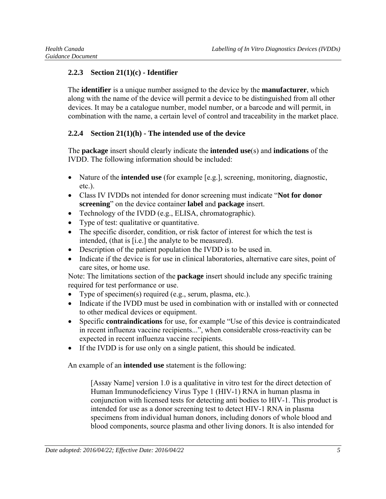### **2.2.3 Section 21(1)(c) - Identifier**

The **identifier** is a unique number assigned to the device by the **manufacturer**, which along with the name of the device will permit a device to be distinguished from all other devices. It may be a catalogue number, model number, or a barcode and will permit, in combination with the name, a certain level of control and traceability in the market place.

### **2.2.4 Section 21(1)(h) - The intended use of the device**

The **package** insert should clearly indicate the **intended use**(s) and **indications** of the IVDD. The following information should be included:

- Nature of the **intended use** (for example [e.g.], screening, monitoring, diagnostic, etc.).
- Class IV IVDDs not intended for donor screening must indicate "**Not for donor screening**" on the device container **label** and **package** insert.
- Technology of the IVDD (e.g., ELISA, chromatographic).
- Type of test: qualitative or quantitative.
- The specific disorder, condition, or risk factor of interest for which the test is intended, (that is [i.e.] the analyte to be measured).
- Description of the patient population the IVDD is to be used in.
- Indicate if the device is for use in clinical laboratories, alternative care sites, point of care sites, or home use.

Note: The limitations section of the **package** insert should include any specific training required for test performance or use.

- Type of specimen(s) required (e.g., serum, plasma, etc.).
- Indicate if the IVDD must be used in combination with or installed with or connected to other medical devices or equipment.
- Specific **contraindications** for use, for example "Use of this device is contraindicated in recent influenza vaccine recipients...", when considerable cross-reactivity can be expected in recent influenza vaccine recipients.
- If the IVDD is for use only on a single patient, this should be indicated.

An example of an **intended use** statement is the following:

[Assay Name] version 1.0 is a qualitative in vitro test for the direct detection of Human Immunodeficiency Virus Type 1 (HIV-1) RNA in human plasma in conjunction with licensed tests for detecting anti bodies to HIV-1. This product is intended for use as a donor screening test to detect HIV-1 RNA in plasma specimens from individual human donors, including donors of whole blood and blood components, source plasma and other living donors. It is also intended for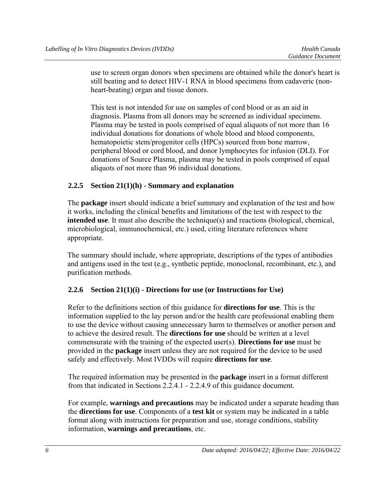use to screen organ donors when specimens are obtained while the donor's heart is still beating and to detect HIV-1 RNA in blood specimens from cadaveric (nonheart-beating) organ and tissue donors.

This test is not intended for use on samples of cord blood or as an aid in diagnosis. Plasma from all donors may be screened as individual specimens. Plasma may be tested in pools comprised of equal aliquots of not more than 16 individual donations for donations of whole blood and blood components, hematopoietic stem/progenitor cells (HPCs) sourced from bone marrow, peripheral blood or cord blood, and donor lymphocytes for infusion (DLI). For donations of Source Plasma, plasma may be tested in pools comprised of equal aliquots of not more than 96 individual donations.

#### **2.2.5 Section 21(1)(h) - Summary and explanation**

The **package** insert should indicate a brief summary and explanation of the test and how it works, including the clinical benefits and limitations of the test with respect to the **intended use**. It must also describe the technique(s) and reactions (biological, chemical, microbiological, immunochemical, etc.) used, citing literature references where appropriate.

The summary should include, where appropriate, descriptions of the types of antibodies and antigens used in the test (e.g., synthetic peptide, monoclonal, recombinant, etc.), and purification methods.

#### **2.2.6 Section 21(1)(i) - Directions for use (or Instructions for Use)**

Refer to the definitions section of this guidance for **directions for use**. This is the information supplied to the lay person and/or the health care professional enabling them to use the device without causing unnecessary harm to themselves or another person and to achieve the desired result. The **directions for use** should be written at a level commensurate with the training of the expected user(s). **Directions for use** must be provided in the **package** insert unless they are not required for the device to be used safely and effectively. Most IVDDs will require **directions for use**.

The required information may be presented in the **package** insert in a format different from that indicated in Sections 2.2.4.1 - 2.2.4.9 of this guidance document.

For example, **warnings and precautions** may be indicated under a separate heading than the **directions for use**. Components of a **test kit** or system may be indicated in a table format along with instructions for preparation and use, storage conditions, stability information, **warnings and precautions**, etc.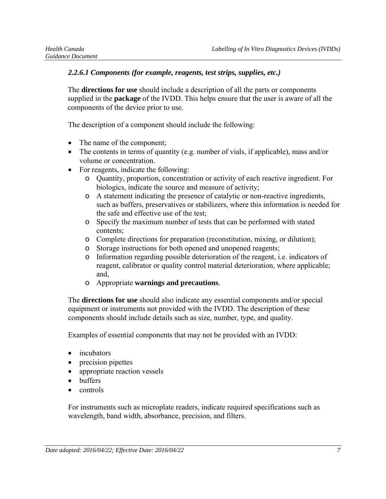#### *2.2.6.1 Components (for example, reagents, test strips, supplies, etc.)*

The **directions for use** should include a description of all the parts or components supplied in the **package** of the IVDD. This helps ensure that the user is aware of all the components of the device prior to use.

The description of a component should include the following:

- The name of the component;
- The contents in terms of quantity (e.g. number of vials, if applicable), mass and/or volume or concentration.
- For reagents, indicate the following:
	- o Quantity, proportion, concentration or activity of each reactive ingredient. For biologics, indicate the source and measure of activity;
	- o A statement indicating the presence of catalytic or non-reactive ingredients, such as buffers, preservatives or stabilizers, where this information is needed for the safe and effective use of the test;
	- o Specify the maximum number of tests that can be performed with stated contents;
	- o Complete directions for preparation (reconstitution, mixing, or dilution);
	- o Storage instructions for both opened and unopened reagents;
	- o Information regarding possible deterioration of the reagent, i.e. indicators of reagent, calibrator or quality control material deterioration, where applicable; and,
	- o Appropriate **warnings and precautions**.

The **directions for use** should also indicate any essential components and/or special equipment or instruments not provided with the IVDD. The description of these components should include details such as size, number, type, and quality.

Examples of essential components that may not be provided with an IVDD:

- incubators
- precision pipettes
- appropriate reaction vessels
- buffers
- $\bullet$  controls

For instruments such as microplate readers, indicate required specifications such as wavelength, band width, absorbance, precision, and filters.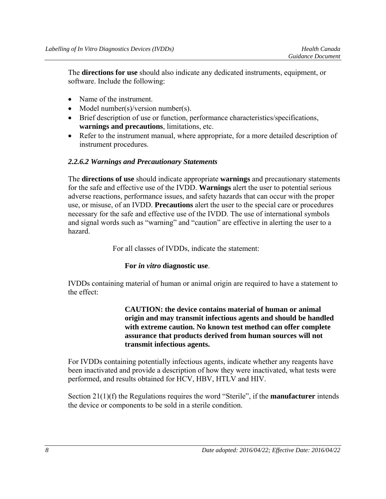The **directions for use** should also indicate any dedicated instruments, equipment, or software. Include the following:

- Name of the instrument.
- Model number(s)/version number(s).
- Brief description of use or function, performance characteristics/specifications, **warnings and precautions**, limitations, etc.
- Refer to the instrument manual, where appropriate, for a more detailed description of instrument procedures.

#### *2.2.6.2 Warnings and Precautionary Statements*

The **directions of use** should indicate appropriate **warnings** and precautionary statements for the safe and effective use of the IVDD. **Warnings** alert the user to potential serious adverse reactions, performance issues, and safety hazards that can occur with the proper use, or misuse, of an IVDD. **Precautions** alert the user to the special care or procedures necessary for the safe and effective use of the IVDD. The use of international symbols and signal words such as "warning" and "caution" are effective in alerting the user to a hazard.

For all classes of IVDDs, indicate the statement:

#### **For** *in vitro* **diagnostic use**.

IVDDs containing material of human or animal origin are required to have a statement to the effect:

> **CAUTION: the device contains material of human or animal origin and may transmit infectious agents and should be handled with extreme caution. No known test method can offer complete assurance that products derived from human sources will not transmit infectious agents.**

For IVDDs containing potentially infectious agents, indicate whether any reagents have been inactivated and provide a description of how they were inactivated, what tests were performed, and results obtained for HCV, HBV, HTLV and HIV.

Section 21(1)(f) the Regulations requires the word "Sterile", if the **manufacturer** intends the device or components to be sold in a sterile condition.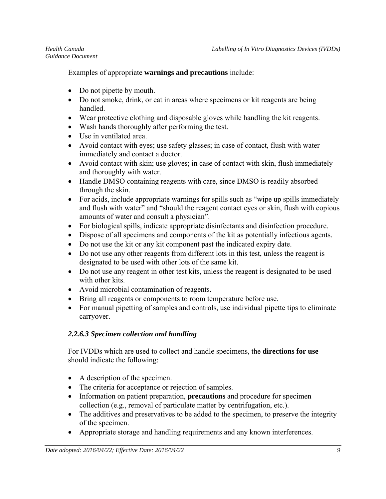Examples of appropriate **warnings and precautions** include:

- Do not pipette by mouth.
- Do not smoke, drink, or eat in areas where specimens or kit reagents are being handled.
- Wear protective clothing and disposable gloves while handling the kit reagents.
- Wash hands thoroughly after performing the test.
- Use in ventilated area.
- Avoid contact with eyes; use safety glasses; in case of contact, flush with water immediately and contact a doctor.
- Avoid contact with skin; use gloves; in case of contact with skin, flush immediately and thoroughly with water.
- Handle DMSO containing reagents with care, since DMSO is readily absorbed through the skin.
- For acids, include appropriate warnings for spills such as "wipe up spills immediately and flush with water" and "should the reagent contact eyes or skin, flush with copious amounts of water and consult a physician".
- For biological spills, indicate appropriate disinfectants and disinfection procedure.
- Dispose of all specimens and components of the kit as potentially infectious agents.
- Do not use the kit or any kit component past the indicated expiry date.
- Do not use any other reagents from different lots in this test, unless the reagent is designated to be used with other lots of the same kit.
- Do not use any reagent in other test kits, unless the reagent is designated to be used with other kits.
- Avoid microbial contamination of reagents.
- Bring all reagents or components to room temperature before use.
- For manual pipetting of samples and controls, use individual pipette tips to eliminate carryover.

### *2.2.6.3 Specimen collection and handling*

For IVDDs which are used to collect and handle specimens, the **directions for use** should indicate the following:

- A description of the specimen.
- The criteria for acceptance or rejection of samples.
- Information on patient preparation, **precautions** and procedure for specimen collection (e.g., removal of particulate matter by centrifugation, etc.).
- The additives and preservatives to be added to the specimen, to preserve the integrity of the specimen.
- Appropriate storage and handling requirements and any known interferences.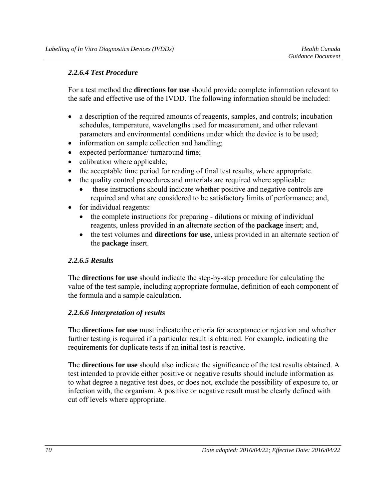#### *2.2.6.4 Test Procedure*

For a test method the **directions for use** should provide complete information relevant to the safe and effective use of the IVDD. The following information should be included:

- a description of the required amounts of reagents, samples, and controls; incubation schedules, temperature, wavelengths used for measurement, and other relevant parameters and environmental conditions under which the device is to be used;
- information on sample collection and handling;
- expected performance/ turnaround time;
- calibration where applicable;
- the acceptable time period for reading of final test results, where appropriate.
- the quality control procedures and materials are required where applicable:
	- these instructions should indicate whether positive and negative controls are required and what are considered to be satisfactory limits of performance; and,
- for individual reagents:
	- the complete instructions for preparing dilutions or mixing of individual reagents, unless provided in an alternate section of the **package** insert; and,
	- the test volumes and **directions for use**, unless provided in an alternate section of the **package** insert.

#### *2.2.6.5 Results*

The **directions for use** should indicate the step-by-step procedure for calculating the value of the test sample, including appropriate formulae, definition of each component of the formula and a sample calculation.

#### *2.2.6.6 Interpretation of results*

The **directions for use** must indicate the criteria for acceptance or rejection and whether further testing is required if a particular result is obtained. For example, indicating the requirements for duplicate tests if an initial test is reactive.

The **directions for use** should also indicate the significance of the test results obtained. A test intended to provide either positive or negative results should include information as to what degree a negative test does, or does not, exclude the possibility of exposure to, or infection with, the organism. A positive or negative result must be clearly defined with cut off levels where appropriate.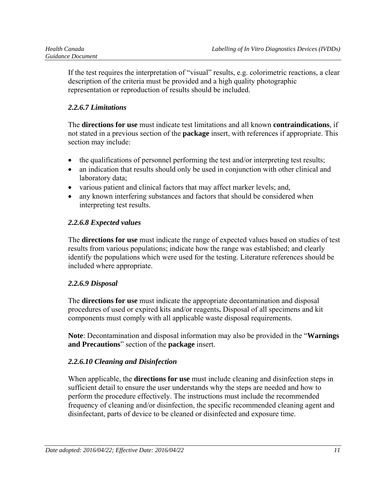If the test requires the interpretation of "visual" results, e.g. colorimetric reactions, a clear description of the criteria must be provided and a high quality photographic representation or reproduction of results should be included.

### *2.2.6.7 Limitations*

The **directions for use** must indicate test limitations and all known **contraindications**, if not stated in a previous section of the **package** insert, with references if appropriate. This section may include:

- the qualifications of personnel performing the test and/or interpreting test results;
- an indication that results should only be used in conjunction with other clinical and laboratory data;
- various patient and clinical factors that may affect marker levels; and,
- any known interfering substances and factors that should be considered when interpreting test results.

### *2.2.6.8 Expected values*

The **directions for use** must indicate the range of expected values based on studies of test results from various populations; indicate how the range was established; and clearly identify the populations which were used for the testing. Literature references should be included where appropriate.

### *2.2.6.9 Disposal*

The **directions for use** must indicate the appropriate decontamination and disposal procedures of used or expired kits and/or reagents**.** Disposal of all specimens and kit components must comply with all applicable waste disposal requirements.

**Note**: Decontamination and disposal information may also be provided in the "**Warnings and Precautions**" section of the **package** insert.

### *2.2.6.10 Cleaning and Disinfection*

When applicable, the **directions for use** must include cleaning and disinfection steps in sufficient detail to ensure the user understands why the steps are needed and how to perform the procedure effectively. The instructions must include the recommended frequency of cleaning and/or disinfection, the specific recommended cleaning agent and disinfectant, parts of device to be cleaned or disinfected and exposure time.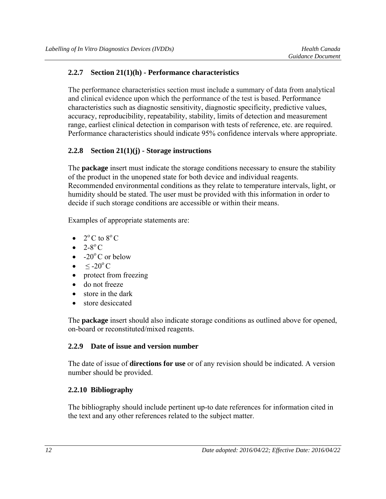#### **2.2.7 Section 21(1)(h) - Performance characteristics**

The performance characteristics section must include a summary of data from analytical and clinical evidence upon which the performance of the test is based. Performance characteristics such as diagnostic sensitivity, diagnostic specificity, predictive values, accuracy, reproducibility, repeatability, stability, limits of detection and measurement range, earliest clinical detection in comparison with tests of reference, etc. are required. Performance characteristics should indicate 95% confidence intervals where appropriate.

### **2.2.8 Section 21(1)(j) - Storage instructions**

The **package** insert must indicate the storage conditions necessary to ensure the stability of the product in the unopened state for both device and individual reagents. Recommended environmental conditions as they relate to temperature intervals, light, or humidity should be stated. The user must be provided with this information in order to decide if such storage conditions are accessible or within their means.

Examples of appropriate statements are:

- $2^{\circ}$  C to  $8^{\circ}$  C
- $2-8^\circ$  C
- $-20^{\circ}$ C or below
- $\rm <$  -20 $\rm ^{o}$  C
- protect from freezing
- do not freeze
- store in the dark
- store desiccated

The **package** insert should also indicate storage conditions as outlined above for opened, on-board or reconstituted/mixed reagents.

#### **2.2.9 Date of issue and version number**

The date of issue of **directions for use** or of any revision should be indicated. A version number should be provided.

### **2.2.10 Bibliography**

The bibliography should include pertinent up-to date references for information cited in the text and any other references related to the subject matter.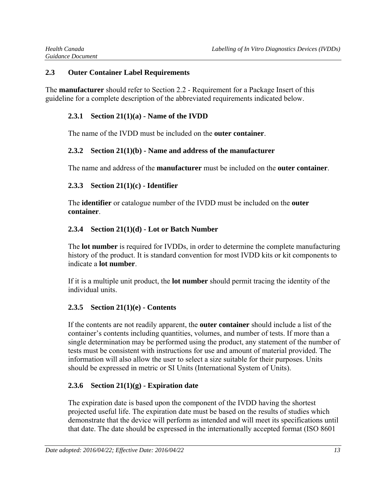#### **2.3 Outer Container Label Requirements**

The **manufacturer** should refer to Section 2.2 - Requirement for a Package Insert of this guideline for a complete description of the abbreviated requirements indicated below.

### **2.3.1 Section 21(1)(a) - Name of the IVDD**

The name of the IVDD must be included on the **outer container**.

### **2.3.2 Section 21(1)(b) - Name and address of the manufacturer**

The name and address of the **manufacturer** must be included on the **outer container**.

### **2.3.3 Section 21(1)(c) - Identifier**

The **identifier** or catalogue number of the IVDD must be included on the **outer container**.

### **2.3.4 Section 21(1)(d) - Lot or Batch Number**

The **lot number** is required for IVDDs, in order to determine the complete manufacturing history of the product. It is standard convention for most IVDD kits or kit components to indicate a **lot number**.

If it is a multiple unit product, the **lot number** should permit tracing the identity of the individual units.

### **2.3.5 Section 21(1)(e) - Contents**

If the contents are not readily apparent, the **outer container** should include a list of the container's contents including quantities, volumes, and number of tests. If more than a single determination may be performed using the product, any statement of the number of tests must be consistent with instructions for use and amount of material provided. The information will also allow the user to select a size suitable for their purposes. Units should be expressed in metric or SI Units (International System of Units).

### **2.3.6 Section 21(1)(g) - Expiration date**

The expiration date is based upon the component of the IVDD having the shortest projected useful life. The expiration date must be based on the results of studies which demonstrate that the device will perform as intended and will meet its specifications until that date. The date should be expressed in the internationally accepted format (ISO 8601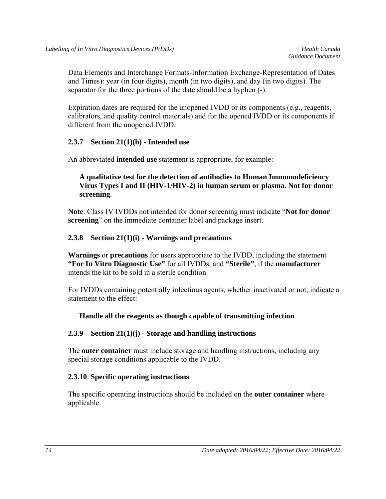Data Elements and Interchange Formats-Information Exchange-Representation of Dates and Times): year (in four digits), month (in two digits), and day (in two digits). The separator for the three portions of the date should be a hyphen (-).

Expiration dates are required for the unopened IVDD or its components (e.g., reagents, calibrators, and quality control materials) and for the opened IVDD or its components if different from the unopened IVDD.

#### **2.3.7 Section 21(1)(h) - Intended use**

An abbreviated **intended use** statement is appropriate, for example:

#### **A qualitative test for the detection of antibodies to Human Immunodeficiency Virus Types I and II (HIV-1/HIV-2) in human serum or plasma. Not for donor screening**.

**Note**: Class IV IVDDs not intended for donor screening must indicate "**Not for donor screening**" on the immediate container label and package insert.

#### **2.3.8 Section 21(1)(i) - Warnings and precautions**

**Warnings** or **precautions** for users appropriate to the IVDD, including the statement **"For In Vitro Diagnostic Use"** for all IVDDs, and **"Sterile"**, if the **manufacturer**  intends the kit to be sold in a sterile condition.

For IVDDs containing potentially infectious agents, whether inactivated or not, indicate a statement to the effect:

#### **Handle all the reagents as though capable of transmitting infection**.

#### **2.3.9 Section 21(1)(j) - Storage and handling instructions**

The **outer container** must include storage and handling instructions, including any special storage conditions applicable to the IVDD.

#### **2.3.10 Specific operating instructions**

The specific operating instructions should be included on the **outer container** where applicable.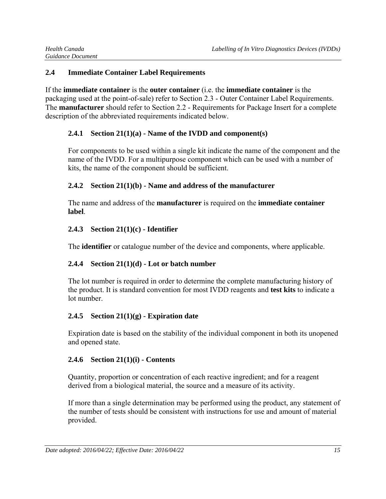### **2.4 Immediate Container Label Requirements**

If the **immediate container** is the **outer container** (i.e. the **immediate container** is the packaging used at the point-of-sale) refer to Section 2.3 - Outer Container Label Requirements. The **manufacturer** should refer to Section 2.2 - Requirements for Package Insert for a complete description of the abbreviated requirements indicated below.

### **2.4.1 Section 21(1)(a) - Name of the IVDD and component(s)**

For components to be used within a single kit indicate the name of the component and the name of the IVDD. For a multipurpose component which can be used with a number of kits, the name of the component should be sufficient.

### **2.4.2 Section 21(1)(b) - Name and address of the manufacturer**

The name and address of the **manufacturer** is required on the **immediate container label**.

### **2.4.3 Section 21(1)(c) - Identifier**

The **identifier** or catalogue number of the device and components, where applicable.

# **2.4.4 Section 21(1)(d) - Lot or batch number**

The lot number is required in order to determine the complete manufacturing history of the product. It is standard convention for most IVDD reagents and **test kits** to indicate a lot number.

# **2.4.5 Section 21(1)(g) - Expiration date**

Expiration date is based on the stability of the individual component in both its unopened and opened state.

### **2.4.6 Section 21(1)(i) - Contents**

Quantity, proportion or concentration of each reactive ingredient; and for a reagent derived from a biological material, the source and a measure of its activity.

If more than a single determination may be performed using the product, any statement of the number of tests should be consistent with instructions for use and amount of material provided.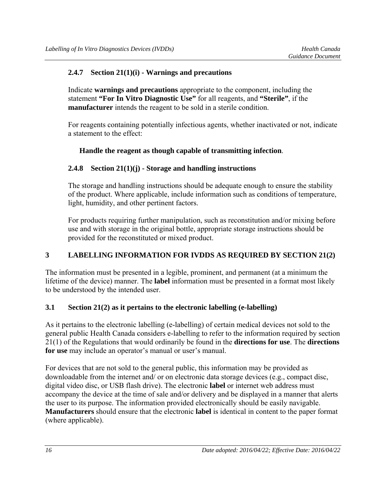#### **2.4.7 Section 21(1)(i) - Warnings and precautions**

Indicate **warnings and precautions** appropriate to the component, including the statement **"For In Vitro Diagnostic Use"** for all reagents, and **"Sterile"**, if the **manufacturer** intends the reagent to be sold in a sterile condition.

For reagents containing potentially infectious agents, whether inactivated or not, indicate a statement to the effect:

#### **Handle the reagent as though capable of transmitting infection**.

#### **2.4.8 Section 21(1)(j) - Storage and handling instructions**

The storage and handling instructions should be adequate enough to ensure the stability of the product. Where applicable, include information such as conditions of temperature, light, humidity, and other pertinent factors.

For products requiring further manipulation, such as reconstitution and/or mixing before use and with storage in the original bottle, appropriate storage instructions should be provided for the reconstituted or mixed product.

### **3 LABELLING INFORMATION FOR IVDDS AS REQUIRED BY SECTION 21(2)**

The information must be presented in a legible, prominent, and permanent (at a minimum the lifetime of the device) manner. The **label** information must be presented in a format most likely to be understood by the intended user.

#### **3.1 Section 21(2) as it pertains to the electronic labelling (e-labelling)**

As it pertains to the electronic labelling (e-labelling) of certain medical devices not sold to the general public Health Canada considers e-labelling to refer to the information required by section 21(1) of the Regulations that would ordinarily be found in the **directions for use**. The **directions for use** may include an operator's manual or user's manual.

For devices that are not sold to the general public, this information may be provided as downloadable from the internet and/ or on electronic data storage devices (e.g., compact disc, digital video disc, or USB flash drive). The electronic **label** or internet web address must accompany the device at the time of sale and/or delivery and be displayed in a manner that alerts the user to its purpose. The information provided electronically should be easily navigable. **Manufacturers** should ensure that the electronic **label** is identical in content to the paper format (where applicable).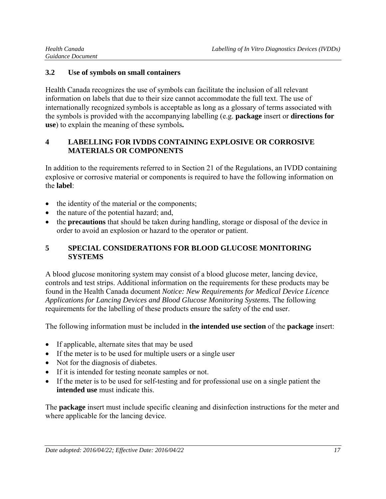#### **3.2 Use of symbols on small containers**

Health Canada recognizes the use of symbols can facilitate the inclusion of all relevant information on labels that due to their size cannot accommodate the full text. The use of internationally recognized symbols is acceptable as long as a glossary of terms associated with the symbols is provided with the accompanying labelling (e.g. **package** insert or **directions for use**) to explain the meaning of these symbols**.** 

### **4 LABELLING FOR IVDDS CONTAINING EXPLOSIVE OR CORROSIVE MATERIALS OR COMPONENTS**

In addition to the requirements referred to in Section 21 of the Regulations, an IVDD containing explosive or corrosive material or components is required to have the following information on the **label**:

- the identity of the material or the components;
- the nature of the potential hazard; and,
- the **precautions** that should be taken during handling, storage or disposal of the device in order to avoid an explosion or hazard to the operator or patient.

### **5 SPECIAL CONSIDERATIONS FOR BLOOD GLUCOSE MONITORING SYSTEMS**

A blood glucose monitoring system may consist of a blood glucose meter, lancing device, controls and test strips. Additional information on the requirements for these products may be found in the Health Canada document *Notice: New Requirements for Medical Device Licence Applications for Lancing Devices and Blood Glucose Monitoring Systems.* The following requirements for the labelling of these products ensure the safety of the end user.

The following information must be included in **the intended use section** of the **package** insert:

- If applicable, alternate sites that may be used
- If the meter is to be used for multiple users or a single user
- Not for the diagnosis of diabetes.
- If it is intended for testing neonate samples or not.
- If the meter is to be used for self-testing and for professional use on a single patient the **intended use** must indicate this.

The **package** insert must include specific cleaning and disinfection instructions for the meter and where applicable for the lancing device.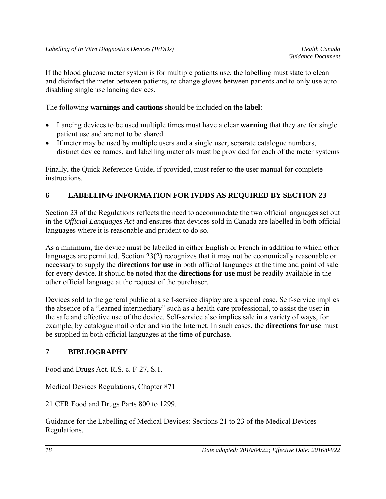If the blood glucose meter system is for multiple patients use, the labelling must state to clean and disinfect the meter between patients, to change gloves between patients and to only use autodisabling single use lancing devices.

The following **warnings and cautions** should be included on the **label**:

- Lancing devices to be used multiple times must have a clear **warning** that they are for single patient use and are not to be shared.
- If meter may be used by multiple users and a single user, separate catalogue numbers, distinct device names, and labelling materials must be provided for each of the meter systems

Finally, the Quick Reference Guide, if provided, must refer to the user manual for complete instructions.

### **6 LABELLING INFORMATION FOR IVDDS AS REQUIRED BY SECTION 23**

Section 23 of the Regulations reflects the need to accommodate the two official languages set out in the *Official Languages Act* and ensures that devices sold in Canada are labelled in both official languages where it is reasonable and prudent to do so.

As a minimum, the device must be labelled in either English or French in addition to which other languages are permitted. Section 23(2) recognizes that it may not be economically reasonable or necessary to supply the **directions for use** in both official languages at the time and point of sale for every device. It should be noted that the **directions for use** must be readily available in the other official language at the request of the purchaser.

Devices sold to the general public at a self-service display are a special case. Self-service implies the absence of a "learned intermediary" such as a health care professional, to assist the user in the safe and effective use of the device. Self-service also implies sale in a variety of ways, for example, by catalogue mail order and via the Internet. In such cases, the **directions for use** must be supplied in both official languages at the time of purchase.

### **7 BIBLIOGRAPHY**

Food and Drugs Act. R.S. c. F-27, S.1.

Medical Devices Regulations, Chapter 871

21 CFR Food and Drugs Parts 800 to 1299.

Guidance for the Labelling of Medical Devices: Sections 21 to 23 of the Medical Devices Regulations.